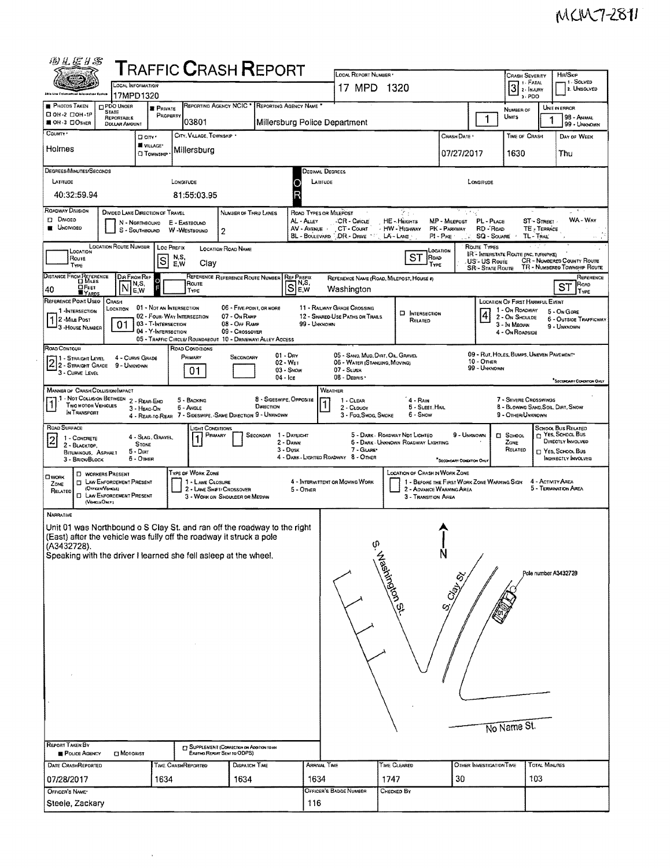|                                                                                              |                                                                               |                                                 | <b>TRAFFIC CRASH REPORT</b>                                               |                                                             |                                                 |                                             | LOCAL REPORT NUMBER                         |                                          |                                             |                                             | <b>CRASH SEVERITY</b>                             | HIT/SKIP<br>1 - Solved                                            |
|----------------------------------------------------------------------------------------------|-------------------------------------------------------------------------------|-------------------------------------------------|---------------------------------------------------------------------------|-------------------------------------------------------------|-------------------------------------------------|---------------------------------------------|---------------------------------------------|------------------------------------------|---------------------------------------------|---------------------------------------------|---------------------------------------------------|-------------------------------------------------------------------|
| OCAL INFORMATION<br><b>Ship the Entercompal identities</b><br>17MPD1320                      |                                                                               |                                                 |                                                                           |                                                             |                                                 |                                             | 17 MPD 1320                                 |                                          |                                             |                                             | $31$ FATAL<br>$3.$ PDO                            | 2. UNSOLVED                                                       |
| PHOTOS TAKEN<br>□ ОН-2 □ ОН-1Р                                                               | PDO UNOER<br><b>STATE</b>                                                     | <b>PRIVATE</b><br>PROPERTY                      |                                                                           |                                                             | REPORTING AGENCY NCIC * REPORTING AGENCY NAME ' |                                             |                                             |                                          |                                             |                                             | NUMBER OF<br>UNITS                                | UNIT IN ERROR                                                     |
| <b>BOH-3 COTHER</b>                                                                          | REPORTABLE<br>103801<br>Millersburg Police Department<br><b>DOLLAR AMOUNT</b> |                                                 |                                                                           |                                                             |                                                 |                                             |                                             |                                          |                                             | 1                                           |                                                   | 98 - Animal<br>99 - UNKNOWN                                       |
| COUNTY -                                                                                     |                                                                               | D city '<br><b>W</b> VILLAGE*                   | CITY, VILLAGE, TOWNSHIP .                                                 |                                                             |                                                 |                                             |                                             |                                          | CRASH DATE                                  |                                             | Time of Crash                                     | DAY OF WEEK                                                       |
| Holmes                                                                                       |                                                                               | <b>CI TOWNSHIP</b>                              | Millersburg                                                               |                                                             |                                                 |                                             |                                             |                                          | 07/27/2017                                  |                                             | 1630                                              | Thu                                                               |
| DEGREES/MINUTES/SECONDS                                                                      |                                                                               |                                                 |                                                                           |                                                             |                                                 | Decimal Degrees                             |                                             |                                          |                                             |                                             |                                                   |                                                                   |
| LATITUDE                                                                                     |                                                                               |                                                 | LONGITUDE                                                                 |                                                             |                                                 | LATITUDE<br>Ο                               |                                             |                                          |                                             | LONGITUDE                                   |                                                   |                                                                   |
| 40:32:59.94                                                                                  |                                                                               |                                                 | 81:55:03.95                                                               |                                                             |                                                 | R                                           |                                             |                                          |                                             |                                             |                                                   |                                                                   |
| <b>ROADWAY DIVISION</b><br><b>D</b> Divideo                                                  | DIVIDED LANE DIRECTION OF TRAVEL                                              | N - NORTHBOUND                                  | E - EASTBOUND                                                             | NUMBER OF THRU LANES                                        |                                                 | <b>ROAD TYPES OR MILEPOST</b><br>AL - ALLEY | CR-Cricle                                   | दि है।<br>बाह<br>HE-HEIGHTS              | 应力性<br>MP - MILEPOST                        | PL - PLACE                                  | ST - STREET                                       | WA - WAY                                                          |
| <b>UNOMIDED</b>                                                                              |                                                                               | S - SOUTHBOUND                                  | W-WESTBOUND                                                               | $\overline{2}$                                              |                                                 | AV - AVENUE<br><b>BL - BOULEVARD</b>        | CT - Count<br>DR - DRIVE                    | · HW - HIGHWAY<br>$LA - LATE$            | PK - PARKWAY<br>$P1 - P_{IRE}$              | RD-ROAD<br><b>SQ - SOUARE</b>               | TE - TERRACE<br>TL - TRAIL                        |                                                                   |
| LOCATION                                                                                     | <b>LOCATION ROUTE NUMBER</b>                                                  |                                                 | Loc PREFIX                                                                | <b>LOCATION ROAD NAME</b>                                   |                                                 |                                             |                                             |                                          | LOCATION                                    | Route Types                                 | IR <sup>"</sup> INTERSTATE ROUTE (INC. TURNPIKE)  |                                                                   |
| Route<br>TYPE                                                                                |                                                                               | $\mathbf{s}$                                    | N,S,<br>E,W<br>Clay                                                       |                                                             |                                                 |                                             |                                             | ST<br>Royp<br>TYPE                       |                                             | <b>US-US Roure</b><br><b>SR-STATE ROUTE</b> |                                                   | <b>CR - NUMBERED COUNTY ROUTE</b><br>TR - NUMBEREO TOWNSHIP ROUTE |
| DISTANCE FROM REFERENCE                                                                      | Dia From Ref                                                                  | N,S,                                            | Route                                                                     | REFERENCE REFERENCE ROUTE NUMBER                            |                                                 | <b>REF PREFIX</b>                           |                                             | REFERENCE NAME (ROAD, MILEPOST, HOUSE #) |                                             |                                             |                                                   | REFERENCE<br>ROAD                                                 |
| ОРеет<br>40<br><b>YARDS</b>                                                                  | N                                                                             | E.W                                             | TYPE                                                                      |                                                             |                                                 | Se.w                                        | Washington                                  |                                          |                                             |                                             |                                                   | ST<br>TYPE                                                        |
| REFERENCE POINT USED<br>1 -INTERSECTION                                                      | CRASH<br>LOCATION                                                             | 01 - NOT AN INTERSECTION                        |                                                                           | 06 - FIVE POINT, OR MORE                                    |                                                 |                                             | 11 - RAILWAY GRADE CROSSING                 | <b>D</b> INTERSECTION                    |                                             |                                             | LOCATION OF FIRST HARMFUL EVENT<br>1 - On ROADWAY | 5 - On Gore                                                       |
| 1 2 - MILE POST<br>3 - House NUMBER                                                          | 01                                                                            | 03 - T-INTERSECTION                             | 02 - FOUR-WAY INTERSECTION                                                | 07 - On RAMP<br>08 - Off RAMP                               |                                                 | 99 - UNKNOWN                                | 12 - SHARED-USE PATHS OR TRAILS             | RELATED                                  |                                             | 4                                           | 2 - ON SHOULDE<br>3 - In Median                   | <b>6 - OUTSIDE TRAFFICWAY</b><br>9 - UNKNOWN                      |
|                                                                                              |                                                                               | 04 - Y-INTERSECTION                             | 05 - TRAFFIC CIRCLE/ ROUNDABOUT 10 - DRIVEWAY/ ALLEY ACCESS               | 09 - CROSSOVER                                              |                                                 |                                             |                                             |                                          |                                             |                                             | 4 - On ROADSIDE                                   |                                                                   |
| ROAD CONTOUR<br>11 - Straight Level                                                          | 4 - CURVE GRADE                                                               |                                                 | <b>ROAD CONDITIONS</b><br>PRIMARY                                         | SECONDARY                                                   | $01 - Draw$                                     |                                             | 05 - SAND, MUD, DIRT, OIL, GRAVEL           |                                          |                                             |                                             | 09 - RUT, HOLES, BUMPS, UNEVEN PAVEMENT           |                                                                   |
| $2\frac{1}{2}$ - Straight Level<br>3 - CURVE LEVEL                                           | 9 - UNKNOWN                                                                   |                                                 | 01                                                                        |                                                             | 02 - WET<br>03 - Snow                           |                                             | 06 - WATER (STANDING, MOVING)<br>07 - SLUSH |                                          |                                             | $10 -$ OTHER<br>99 - UNKNOWN                |                                                   |                                                                   |
|                                                                                              |                                                                               |                                                 |                                                                           |                                                             | $04 -$ Ice                                      |                                             | 08 - Deanis                                 |                                          |                                             |                                             |                                                   | <sup>*</sup> Secondary Covornow Dray                              |
| <b>MANNER OF CRASH COLLISION/IMPACT</b><br>1 1 - Not Collision Between 2 - Rear-End          |                                                                               |                                                 | 5 - BACKING                                                               |                                                             | 8 - Sideswipe, Opposite                         |                                             | WEATHER<br>1 CLEAR                          | 4 - RAIN                                 |                                             |                                             | 7 - SEVERE CROSSWINDS                             |                                                                   |
| <b>TWO MOTOR VEHICLES</b><br>IN TRANSPORT                                                    |                                                                               | 3 - HEAD ON                                     | $6 -$ Angle<br>4 - REAR-TO-REAR 7 - SIDESWIPE, SAME DIRECTION 9 - UNKNOWN |                                                             | DIRECTION                                       |                                             | 2 - CLOUDY<br>3 - Fog, SMOG, SMOKE          | 5 - SLEET, HAIL<br>6 - Snow              |                                             |                                             | 9 - OTHER/UNKNOWN                                 | 8 - BLOWING SAND, SOIL, DIRT, SNOW                                |
| ROAD SURFACE                                                                                 |                                                                               |                                                 | _ight Conditions<br>Primary                                               |                                                             | SECONDAR 1 - DAYLIGHT                           |                                             |                                             | 5 - DARK - ROADWAY NOT LIGHTED           | 9 - UNKNOWN                                 |                                             | <b>El School</b>                                  | SCHOOL BUS RELATED<br>NES, SCHOOL BUS                             |
| 1 - CONCRETE<br>$\overline{2}$<br>2 - BLACKTOP,<br><b>BITUMINOUS, ASPHALT</b>                |                                                                               | 4 - Slag, Gravel,<br><b>STONE</b><br>$5 -$ Diar |                                                                           |                                                             | 2 - Dawn<br>3 - Dusk                            |                                             | 7 - GLARE                                   | 6 - DARK - UNKNOWN ROADWAY LIGHTING      |                                             |                                             | Zone<br>RELATED                                   | DIRECTLY INVOLVED<br>□ YES, SCHOOL Bus                            |
| 3 - BRICK/BLOCK                                                                              |                                                                               | $6 -$ OTHER                                     |                                                                           |                                                             |                                                 |                                             | 4 - DARK - LIGHTED ROADWAY 8 - OTHER        |                                          | SECOMOARY CONCERON ONL                      |                                             |                                                   | INDIRECTLY INVOLVED                                               |
| OWORK                                                                                        | <b>D</b> WORKERS PRESENT<br><b>T LAW ENFORCEMENT PRESENT</b>                  |                                                 | TYPE OF WORK ZONE<br>1 - LANE CLOSURE                                     |                                                             |                                                 |                                             | 4 - INTERMITTENT OR MOVING WORK             | LOCATION OF CRASH IN WORK ZONE           | 1 - BEFORE THE FIRST WORK ZONE WARNING SIGN |                                             |                                                   | 4 - ACTIVITY AREA                                                 |
| ZONE<br>RELATED                                                                              | (OFFICER/VEHICLE)<br><b>D</b> LAW ENFORCEMENT PRESENT                         |                                                 |                                                                           | 2 - LANE SHIFT/ CROSSOVER<br>3 - WORK ON SHOULDER OR MEDIAN |                                                 | $5 -$ OTHER                                 |                                             | 3 - TRANSITION AREA                      | 2 - ADVANCE WARNING AREA                    |                                             |                                                   | 5 - TERMINATION AREA                                              |
|                                                                                              | (VEHICLEOMY)                                                                  |                                                 |                                                                           |                                                             |                                                 |                                             |                                             |                                          |                                             |                                             |                                                   |                                                                   |
| <b>NARRATIVE</b><br>Unit 01 was Northbound o S Clay St. and ran off the roadway to the right |                                                                               |                                                 |                                                                           |                                                             |                                                 |                                             |                                             |                                          |                                             |                                             |                                                   |                                                                   |
| (East) after the vehicle was fully off the roadway it struck a pole                          |                                                                               |                                                 |                                                                           |                                                             |                                                 |                                             | œ.                                          |                                          |                                             |                                             |                                                   |                                                                   |
| (A3432728).<br>Speaking with the driver I learned she fell asleep at the wheel.              |                                                                               |                                                 |                                                                           |                                                             |                                                 |                                             |                                             | S. Washington                            | Ń                                           |                                             |                                                   |                                                                   |
|                                                                                              |                                                                               |                                                 |                                                                           |                                                             |                                                 |                                             |                                             |                                          |                                             |                                             |                                                   | Pole number A3432728                                              |
|                                                                                              |                                                                               |                                                 |                                                                           |                                                             |                                                 |                                             |                                             |                                          |                                             |                                             |                                                   |                                                                   |
|                                                                                              |                                                                               |                                                 |                                                                           |                                                             |                                                 |                                             |                                             |                                          |                                             |                                             |                                                   |                                                                   |
|                                                                                              |                                                                               |                                                 |                                                                           |                                                             |                                                 |                                             |                                             |                                          |                                             |                                             |                                                   |                                                                   |
|                                                                                              |                                                                               |                                                 |                                                                           |                                                             |                                                 |                                             |                                             |                                          |                                             |                                             |                                                   |                                                                   |
|                                                                                              |                                                                               |                                                 |                                                                           |                                                             |                                                 |                                             |                                             |                                          |                                             |                                             |                                                   |                                                                   |
|                                                                                              |                                                                               |                                                 |                                                                           |                                                             |                                                 |                                             |                                             |                                          |                                             |                                             |                                                   |                                                                   |
|                                                                                              |                                                                               |                                                 |                                                                           |                                                             |                                                 |                                             |                                             |                                          |                                             |                                             |                                                   |                                                                   |
|                                                                                              |                                                                               |                                                 |                                                                           |                                                             |                                                 |                                             |                                             |                                          |                                             |                                             |                                                   |                                                                   |
|                                                                                              |                                                                               |                                                 |                                                                           |                                                             |                                                 |                                             |                                             |                                          |                                             |                                             |                                                   |                                                                   |
|                                                                                              |                                                                               |                                                 |                                                                           |                                                             |                                                 |                                             |                                             |                                          |                                             |                                             |                                                   |                                                                   |
|                                                                                              |                                                                               |                                                 |                                                                           |                                                             |                                                 |                                             |                                             |                                          |                                             |                                             | No Name St.                                       |                                                                   |
| REPORT TAKEN BY<br><b>FOLICE AGENCY</b>                                                      | ⊡ Мотовіѕт                                                                    |                                                 | ET SUPPLEMENT (CORRECTION OF ADDITION TO AN                               | EXIGING REPORT SENT TO ODPS)                                |                                                 |                                             |                                             |                                          |                                             |                                             |                                                   |                                                                   |
| DATE CRASHREPORTED                                                                           |                                                                               |                                                 | TIME CRASHREPORTED                                                        | <b>DISPATCH TIME</b>                                        |                                                 | <b>ARRIVAL TIME</b>                         |                                             | TIME CLEARED                             |                                             | OTHER INVESTIGATION TIME                    |                                                   | <b>TOTAL MINUTES</b>                                              |
| 07/28/2017                                                                                   |                                                                               | 1634                                            |                                                                           | 1634                                                        |                                                 | 1634                                        |                                             | 1747                                     | 30                                          |                                             | 103                                               |                                                                   |
| OFFICER'S NAME*                                                                              |                                                                               |                                                 |                                                                           |                                                             |                                                 |                                             | OFFICER'S BADGE NUMBER                      | Снескер Вү                               |                                             |                                             |                                                   |                                                                   |
| Steele, Zackary                                                                              |                                                                               |                                                 |                                                                           |                                                             |                                                 | 116                                         |                                             |                                          |                                             |                                             |                                                   |                                                                   |

 $\sim$   $\alpha$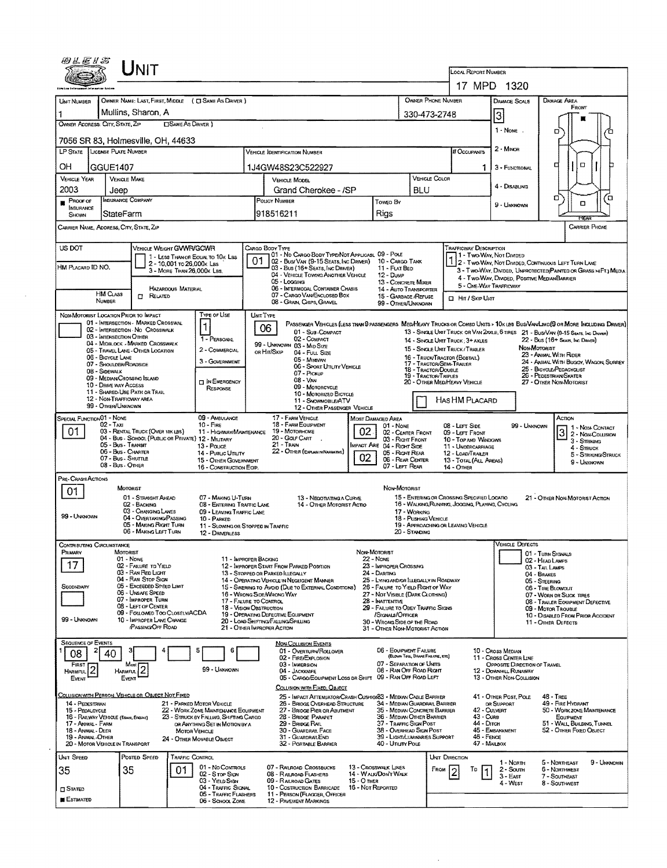|                                                         | LInit                                                                                                         |                                                                                |                                                                                                                             |                                                                                                 |                                                                             |                                                                                                                                   |                                                                |                                                                                                                        |                                                                                                                                |  |  |  |  |
|---------------------------------------------------------|---------------------------------------------------------------------------------------------------------------|--------------------------------------------------------------------------------|-----------------------------------------------------------------------------------------------------------------------------|-------------------------------------------------------------------------------------------------|-----------------------------------------------------------------------------|-----------------------------------------------------------------------------------------------------------------------------------|----------------------------------------------------------------|------------------------------------------------------------------------------------------------------------------------|--------------------------------------------------------------------------------------------------------------------------------|--|--|--|--|
|                                                         |                                                                                                               |                                                                                |                                                                                                                             |                                                                                                 |                                                                             |                                                                                                                                   |                                                                | LOCAL REPORT NUMBER<br>17 MPD 1320                                                                                     |                                                                                                                                |  |  |  |  |
|                                                         |                                                                                                               |                                                                                |                                                                                                                             |                                                                                                 |                                                                             |                                                                                                                                   |                                                                |                                                                                                                        |                                                                                                                                |  |  |  |  |
| UNIT NUMBER<br>1                                        | OWNER NAME: LAST, FIRST, MIDDLE ( C SAME AS DRIVER )<br>Mullins, Sharon, A                                    |                                                                                |                                                                                                                             |                                                                                                 | OWNER PHONE NUMBER                                                          |                                                                                                                                   | <b>DAMAGE SCALE</b>                                            | DAMAGE AREA<br>FRONT                                                                                                   |                                                                                                                                |  |  |  |  |
| OWNER ADDRESS: CITY, STATE, ZIP                         | <b>CISAME AS DRIVER</b> )                                                                                     |                                                                                |                                                                                                                             |                                                                                                 |                                                                             | 330-473-2748                                                                                                                      |                                                                | 3                                                                                                                      |                                                                                                                                |  |  |  |  |
|                                                         | 7056 SR 83, Holmesville, OH, 44633                                                                            |                                                                                |                                                                                                                             |                                                                                                 |                                                                             |                                                                                                                                   | $1 - None$                                                     | o                                                                                                                      |                                                                                                                                |  |  |  |  |
| LP STATE LICENSE PLATE NUMBER                           |                                                                                                               |                                                                                | <b>VEHICLE IDENTIFICATION NUMBER</b>                                                                                        |                                                                                                 |                                                                             |                                                                                                                                   | # Occupants                                                    | 2 - MINOR                                                                                                              |                                                                                                                                |  |  |  |  |
| OH<br>GGUE1407                                          |                                                                                                               |                                                                                | 1J4GW48S23C522927                                                                                                           |                                                                                                 |                                                                             | 1.                                                                                                                                | 3 - Functional                                                 | α<br>α                                                                                                                 |                                                                                                                                |  |  |  |  |
| <b>VEHICLE YEAR</b>                                     | <b>VEHICLE MAKE</b>                                                                                           |                                                                                | <b>VEHICLE MODEL</b>                                                                                                        |                                                                                                 |                                                                             | <b>VEHICLE COLOR</b>                                                                                                              |                                                                |                                                                                                                        |                                                                                                                                |  |  |  |  |
| 2003<br>Proof or                                        | Jeep<br>INSURANCE COMPANY                                                                                     |                                                                                | POLICY NUMBER                                                                                                               | Grand Cherokee - /SP                                                                            |                                                                             | BLU                                                                                                                               |                                                                | 4 - Disabung                                                                                                           | σ<br>ם                                                                                                                         |  |  |  |  |
| INSURANCE<br>Shown                                      | StateFarm                                                                                                     |                                                                                | 918516211                                                                                                                   |                                                                                                 | Towed By<br>Rigs                                                            |                                                                                                                                   |                                                                | 9 - Unknown                                                                                                            | α                                                                                                                              |  |  |  |  |
| CARRIER NAME, ADDRESS, CITY, STATE, ZIP                 |                                                                                                               |                                                                                |                                                                                                                             |                                                                                                 |                                                                             |                                                                                                                                   |                                                                | <b>CARRIER PHONE</b>                                                                                                   |                                                                                                                                |  |  |  |  |
|                                                         |                                                                                                               |                                                                                |                                                                                                                             |                                                                                                 |                                                                             |                                                                                                                                   |                                                                |                                                                                                                        |                                                                                                                                |  |  |  |  |
| US DOT                                                  | VEHICLE WEIGHT GWWR/GCWR                                                                                      | 1 - LESS THAN OR EQUAL TO 10K LBS                                              | CARGD BODY TYPE                                                                                                             | 01 - No CARGO BODY TYPE/NOT APPLICASL 09 - POLE                                                 |                                                                             |                                                                                                                                   | <b>TRAFFICWAY DESCRIPTION</b>                                  | 11 - Two-Way, Not Dimese                                                                                               |                                                                                                                                |  |  |  |  |
| HM PLACARD ID NO.                                       | 2 - 10,001 to 26,000 k Las<br>3 - MORE THAN 26,000K LBS.                                                      |                                                                                | 01<br>03 - Bus (16+ SEATS, INC DRIVER)                                                                                      | 02 - Busi Van (9-15 Seats, Inc Driver) 10 - Cargo Tank                                          | 11 - FLAT BED                                                               |                                                                                                                                   |                                                                | 2 - TWO-WAY, NOT DIVIDED, CONTINUOUS LEFT TURN LANE<br>3 - Two-Way, Divided, UNPROTECTED PAINTED OR GRASS >4FT.) MEDIA |                                                                                                                                |  |  |  |  |
|                                                         |                                                                                                               |                                                                                | 05 - Locana                                                                                                                 | 04 - VEHICLE TOWING ANOTHER VEHICLE                                                             | 12 - Duwe<br>13 - CONCRETE MIXER                                            |                                                                                                                                   |                                                                | 4 - Two-Way, DIVIDED, POSITIVE MEDIANBARRIER<br>5 - One Way Trafficway                                                 |                                                                                                                                |  |  |  |  |
| <b>HM CLASS</b><br><b>NUMBER</b>                        | <b>HAZARDOUS MATERIAL</b><br>$\Box$ Related                                                                   |                                                                                | 07 - CARGO VAN/ENCLOSED BOX<br>08 - GRAIN, CHIPS, GRAVEL                                                                    | 06 - INTERMODAL CONTAINER CHASIS                                                                | <b>14 - AUTO TRANSPORTER</b><br>15 - GARBAGE /REFUSE                        |                                                                                                                                   | <b>El HIT / SKIP UNIT</b>                                      |                                                                                                                        |                                                                                                                                |  |  |  |  |
| NON-MOTORIST LOCATION PRIOR TO IMPACT                   |                                                                                                               | TYPE OF USE                                                                    | UNIT TYPE                                                                                                                   |                                                                                                 | 99 - OTHER/UNKNOWN                                                          |                                                                                                                                   |                                                                |                                                                                                                        |                                                                                                                                |  |  |  |  |
|                                                         | 01 - INTERSECTION - MARKED CROSSWAL<br>02 - INTERSECTION - NO CROSSWALK                                       | 1                                                                              | 06                                                                                                                          |                                                                                                 |                                                                             |                                                                                                                                   |                                                                |                                                                                                                        | PASSENGER VEHICLES (LESS THAN 9 PASSENGERS MEDIA EAVY TRUCKS OR COMBD UNITS > 10K LBS BUS/VAN/LIMD(9 OR MORE INCLUDING DRIVER) |  |  |  |  |
| 03 - INTERSECTION OTHER                                 | 04 - MIDBLOCK - MARKED CROSSWALK                                                                              | 1 - PERSONAL                                                                   | 02 - COMPACT                                                                                                                | 01 - Sub-COMPACT                                                                                |                                                                             |                                                                                                                                   | 14 - SINGLE UNIT TRUCK; 3+ AXLES                               |                                                                                                                        | 13 - SINGLE UNIT TRUCK OR VAN 24XLE, 6 TIRES 21 - BUS/VAN (9-15 Seats, INC DRIVER)<br>22 - Bus (16+ Sears, Inc Draver)         |  |  |  |  |
| 06 - BICYCLE LANE                                       | 05 - TRAVEL LANE - OTHER LOCATION                                                                             | 2 - COMMERCIAL                                                                 | 99 - UNKNOWN 03 - MID SIZE<br>ов Ніт/Sкір<br>04 - FULL SIZE                                                                 |                                                                                                 |                                                                             |                                                                                                                                   | 15 - SINGLE UNIT TRUCK/TRAILER<br>16 - Truck/Tractor (Bostall) |                                                                                                                        | NON-MOTORIST<br>23 - ANIMAL WITH RIDER                                                                                         |  |  |  |  |
| 08 - Sidewalk                                           | 07 - SHOULDER/ROADSIDE                                                                                        | 3 - GOVERNMENT                                                                 | 05 - MINIVAN<br>07 - Pickup                                                                                                 | 06 - SPORT UTILITY VEHICLE                                                                      |                                                                             | 18 - TRACTOR/DOUBLE                                                                                                               | 17 - TRACTOR/SEMI-TRAILER                                      | 24 - ANIMAL WITH BUGGY, WAGON, SURREY<br>25 - BICYCLE/PEDACYCLIST                                                      |                                                                                                                                |  |  |  |  |
| 10 - DRIVE WAY ACCESS                                   | 09 - MEDIAN/CROSSING ISLAND                                                                                   | <b>DIN EMERGENCY</b>                                                           | 08 - VAN                                                                                                                    | 09 - MOTORCYCLE                                                                                 |                                                                             | <b>19 TRACTOR/TRIPLES</b>                                                                                                         | 20 - OTHER MEDIHEAVY VEHICLE                                   |                                                                                                                        | 26 - PEDESTRIAN/SKATER<br>27 - OTHER NON-MOTORIST                                                                              |  |  |  |  |
|                                                         | 11 - SHARED-USE PATH OR TRAIL<br>12 - NON-TRAFFICWAY AREA                                                     | RESPONSE                                                                       | 10 - Motorized Bicycle<br>11 - SNOWMOBILE/ATV                                                                               |                                                                                                 | HASHM PLACARD                                                               |                                                                                                                                   |                                                                |                                                                                                                        |                                                                                                                                |  |  |  |  |
| 99 - OTHER/UNKNOWN                                      |                                                                                                               |                                                                                |                                                                                                                             | 12 - OTHER PASSENGER VEHICLE                                                                    |                                                                             |                                                                                                                                   |                                                                |                                                                                                                        |                                                                                                                                |  |  |  |  |
| SPECIAL FUNCTION 01 - NONE<br>$02 - Tax$                |                                                                                                               | 09 - AMBULANCE<br>$10 -$ Fire                                                  | 17 - FARM VEHICLE<br>18 - FARM EQUIPMENT                                                                                    |                                                                                                 | MOST DAMAGED AREA<br>01 - None                                              |                                                                                                                                   | 08 - LEFT SIDE                                                 | 99 - Unknown                                                                                                           | Астом<br>1 1 - Non-Contact                                                                                                     |  |  |  |  |
| 01                                                      | 03 - RENTAL TRUCK (OVER 10K LBS)<br>04 - BUS - SCHOOL (PUBLIC OR PRIVATE) 12 - MILITARY<br>05 - Bus - Transit | 11 - HIGHWAY/MAINTENANCE                                                       | 19 - Мотояноме<br>02<br>02 - CENTER FRONT<br>20 - Golf Cart<br>03 - Right Front<br>21 - Train<br>IMPACT ARE 04 - RIGHT SIDE |                                                                                                 |                                                                             |                                                                                                                                   | 09 - LEFT FRONT<br>10 - TOP AND WINDOWS                        |                                                                                                                        | $\mathbf{3}$<br>2 - Non-Counsion<br>3 - STRIKING                                                                               |  |  |  |  |
|                                                         | 06 - Bus - Charter<br>07 - Bus - Shuttle                                                                      | 13 - Pouce<br>14 - Pusuc Unury                                                 | 22 - OTHER (EXPLASI IN NARRATIVE)                                                                                           | 05 - RIGHT REAR<br>06 - REAR CENTER                                                             | 11 - UNDERCARRIAGE<br>12 - LOAD/TRAILER                                     | 4 - Struck<br>5 - STRIKING/STRUCK                                                                                                 |                                                                |                                                                                                                        |                                                                                                                                |  |  |  |  |
|                                                         | 08 - Bus - Other                                                                                              | 15 - OTHER GOVERNMENT<br>16 - CONSTRUCTION EQIP.                               |                                                                                                                             | 02                                                                                              | 07 - LEFT REAR                                                              | 13 - TOTAL (ALL AREAS)<br><b>14 - OTHER</b>                                                                                       |                                                                | $9 -$ UNKNOWN                                                                                                          |                                                                                                                                |  |  |  |  |
| PRE-CRASH ACTIONS                                       | <b>MOTORIST</b>                                                                                               |                                                                                |                                                                                                                             |                                                                                                 | NON-MOTORIST                                                                |                                                                                                                                   |                                                                |                                                                                                                        |                                                                                                                                |  |  |  |  |
| 01.                                                     | 01 - STRAIGHT AHEAD                                                                                           | 07 - MAKING U-TURN                                                             |                                                                                                                             | 13 - NEGOTIATING A CURVE<br>14 - OTHER MOTORIST ACTIO                                           |                                                                             | 15 - ENTERING OR CROSSING SPECIFIED LOCATIO<br>21 - OTHER NON-MOTORIST ACTION<br>16 - WALKING, RUNNING, JOGGING, PLAYING, CYCLING |                                                                |                                                                                                                        |                                                                                                                                |  |  |  |  |
| 99 - UNKNOWN                                            | 02 - BACKING<br>03 - CHANGING LANES<br>04 - OVERTAKING/PASSING                                                | 08 - ENTERING TRAFFIC LANE<br>09 - LEAVING TRAFFIC LANE                        |                                                                                                                             |                                                                                                 | 17 - WORKING                                                                |                                                                                                                                   |                                                                |                                                                                                                        |                                                                                                                                |  |  |  |  |
|                                                         | 05 - MAKING RIGHT TURN<br>06 - MAKING LEFT TURN                                                               | 10 - PARKED                                                                    | 11 - SLOWING OR STOPPED IN TRAFFIC                                                                                          |                                                                                                 |                                                                             | 18 - Pushing Vehicle<br>20 - STANDING                                                                                             | 19 - APPROACHING OR LEAVING VEHICLE                            |                                                                                                                        |                                                                                                                                |  |  |  |  |
| <b>CONTRIBUTING CIRCUMSTANCE</b>                        |                                                                                                               | 12 - DRIVERLESS                                                                |                                                                                                                             |                                                                                                 |                                                                             |                                                                                                                                   |                                                                | <b>NEHICLE DEFECTS</b>                                                                                                 |                                                                                                                                |  |  |  |  |
| PRIMARY                                                 | MOTORIST<br>$01 - None$                                                                                       |                                                                                | 11 - IMPROPER BACKING                                                                                                       |                                                                                                 | Non-MOTORIST<br>22 - None                                                   |                                                                                                                                   |                                                                |                                                                                                                        | 01 - TURN SIGNALS<br>02 - HEAD LAMPS                                                                                           |  |  |  |  |
| 17                                                      | 02 - FAILURE TO YIELD<br>03 - RAN RED LIGHT                                                                   |                                                                                | 12 - IMPROPER START FROM PARKED POSITION<br>13 - STOPPED OR PARKED ILLEGALLY                                                |                                                                                                 | 23 - IMPROPER CROSSING<br>24 - DARTING                                      |                                                                                                                                   |                                                                | 03 - TAIL LAMPS<br>04 - BRAKES<br>05 - STEERING<br>06 - TIRE BLOWOUT                                                   |                                                                                                                                |  |  |  |  |
| SECONDARY                                               | 04 - RAN STOP SIGN<br>05 - Exceeded Speed LIMIT                                                               |                                                                                | 14 - OPERATING VEHICLE IN NEGLIGENT MANNER<br>15 - SWERING TO AVOID (DUE TO EXTERNAL CONDITIONS)                            |                                                                                                 | 25 - LYING AND/OR ILLEGALLY IN ROADWAY<br>26 - FALURE TO YIELD RIGHT OF WAY |                                                                                                                                   |                                                                |                                                                                                                        |                                                                                                                                |  |  |  |  |
|                                                         | 06 - UNSAFE SPEED<br>07 - IMPROPER TURN                                                                       |                                                                                | 16 - WRONG SIDE/WRONG WAY<br>17 - FALURE TO CONTROL                                                                         |                                                                                                 | 27 - NOT VISIBLE (DARK CLOTHING)<br>28 - INATTENTIVE                        |                                                                                                                                   |                                                                | 07 - WORN OR SLICK TIRES<br>08 - TRAILER EQUIPMENT DEFECTIVE                                                           |                                                                                                                                |  |  |  |  |
|                                                         | 08 - LEFT OF CENTER<br>09 - FOLLOWED TOO CLOSELY/ACDA                                                         |                                                                                | <b>18 - VISION OBSTRUCTION</b><br>19 - OPERATING DEFECTIVE EQUIPMENT                                                        |                                                                                                 | 29 - FAILURE TO OBEY TRAFFIC SIGNS<br>/SIGNALS/OFFICER                      |                                                                                                                                   | 09 - MOTOR TROUBLE<br>10 - DISABLED FROM PRIOR ACCIDENT        |                                                                                                                        |                                                                                                                                |  |  |  |  |
| 99 - UNKNOWN                                            | 10 - IMPROPER LANE CHANGE<br>PASSING OFF ROAD                                                                 |                                                                                | 20 - LOAD SHIFTING/FALLING/SPILLING<br>21 - O'ner Improper Action                                                           |                                                                                                 | 30 - WRONG SIDE OF THE ROAD<br>31 - OTHER NON-MOTORIST ACTION               |                                                                                                                                   |                                                                |                                                                                                                        | 11 - Onter Defects                                                                                                             |  |  |  |  |
| <b>SEQUENCE OF EVENTS</b>                               |                                                                                                               |                                                                                | <b>NON-COLLISION EVENTS</b>                                                                                                 |                                                                                                 |                                                                             |                                                                                                                                   |                                                                |                                                                                                                        |                                                                                                                                |  |  |  |  |
| 08<br>40                                                |                                                                                                               | 6                                                                              | 01 - Overturn/RotLover<br>02 - FIRE/EXPLOSION                                                                               |                                                                                                 | 06 - EQUIPMENT FAILURE                                                      | (BLOWN TIRE, BRAKE FAILURE, ETC)                                                                                                  |                                                                | 10 - Cross Median<br>11 - Cross Center Line                                                                            |                                                                                                                                |  |  |  |  |
| FIRST <sub>2</sub>                                      | Most<br><b>HARMFUL</b>                                                                                        | 99 - UNKNOWN                                                                   | 03 - IMMERSION<br>04 - JACKKMFE                                                                                             |                                                                                                 | 07 - SEPARATION OF UNITS<br>08 - RAN OFF ROAD RIGHT                         |                                                                                                                                   |                                                                | OPPOSITE DIRECTION OF TRAVEL<br><b>12 - DOWNHILL RUNAWAY</b>                                                           |                                                                                                                                |  |  |  |  |
| EVENT                                                   | Event                                                                                                         |                                                                                | COLLISION WITH FIXED, OBJECT                                                                                                | 05 - CARGO/EQUIPMENT LOSS DR SHIFT                                                              | 09 - RAN OFF ROAD LEFT                                                      |                                                                                                                                   |                                                                | <b>13 - OTHER NDN-COLLISION</b>                                                                                        |                                                                                                                                |  |  |  |  |
| 14 - PEDESTRIAN                                         | COLLISION WITH PERSON, VEHICLE OR OBJECT NOT FIXED                                                            | 21 - PARKED MOTOR VEHICLE                                                      |                                                                                                                             | 25 - IMPACT ATTENUATORICRASH CUSHIONS3 - MEDIAN CABLE BARRIER<br>26 - BRIDGE OVERHEAD STRUCTURE | 34 - MEDIAN GUARDRAIL BARRIER                                               |                                                                                                                                   |                                                                | 41 - OTHER POST, POLE<br>OR SUPPORT                                                                                    | 48 - TREE<br>49 - FIRE HYDRANT                                                                                                 |  |  |  |  |
| 15 - PEDALCYCLE<br>16 - RAILWAY VEHICLE (TRAIN, ENGINE) |                                                                                                               | 22 - WORK ZONE MAINTENANCE EQUIPMENT<br>23 - STRUCK BY FALLING, SHIFTING CARGO | 27 - BRIDGE PIER OR ABUTMENT<br>28 - BRIDGE PARAPET                                                                         | 35 - Median Concrete Barrier<br>36 - MEDIAN OTHER BARRIER                                       |                                                                             | 42 - CULVERT<br>50 - WORK ZONE MAINTENANCE<br>43 - Cuns<br>EQUIPMENT                                                              |                                                                |                                                                                                                        |                                                                                                                                |  |  |  |  |
| 17 - Annal - Farm<br>18 - Animal - Deer                 |                                                                                                               | OR ANYTHING SET IN MOTION BY A<br><b>MOTOR VEHICLE</b>                         | 29 - BRIDGE RAIL<br>30 - GUARDRAIL FACE                                                                                     | 37 - TRAFFIC SIGN POST<br>38 - Overhead Sign Post                                               | 44 - Олтон                                                                  | 45 - EMBANKMENT                                                                                                                   | 51 - WALL BUILDING, TUNNEL<br>52 - OTHER FIXED OBJECT          |                                                                                                                        |                                                                                                                                |  |  |  |  |
| 19 - ANIMAL-OTHER<br>20 - MOTOR VEHICLE IN TRANSPORT    |                                                                                                               | 24 - OTHER MOVABLE OBJECT                                                      | 31 - GUARDRAILEND<br>32 - PORTABLE BARRIER                                                                                  |                                                                                                 | 39 - LIGHT/LUMINARIES SUPPORT<br>40 - Ununy Pous                            |                                                                                                                                   | 46 - FENCE                                                     | 47 - MAILBOX                                                                                                           |                                                                                                                                |  |  |  |  |
| UNIT SPEED                                              | Posted Speed                                                                                                  | TRAFFIC CONTROL                                                                |                                                                                                                             |                                                                                                 |                                                                             |                                                                                                                                   | UNIT DIRECTION                                                 | 1 - North                                                                                                              | 9 - Unknown<br>5 - NDRTHEAST                                                                                                   |  |  |  |  |
| 35                                                      | 35<br>01                                                                                                      | 01 - No CONTROLS<br>02 - S TOP SIGN                                            | 07 - RAILROAD CROSSBUCKS<br>08 - RALROAD FLASHERS                                                                           |                                                                                                 | 13 - Crosswalk Lines<br>14 - WALK/DON'T WALK                                |                                                                                                                                   | Евом<br>To                                                     | 2 - South<br>3 - East                                                                                                  | 6 - NORTHWEST<br>7 - Southeast                                                                                                 |  |  |  |  |
| <b>CI STATED</b>                                        |                                                                                                               | 03 - Yieup Sigw<br>04 - TRAFFIC SIGNAL                                         | 09 - RAILROAD GATES<br>10 - COSTRUCTION BARRICADE                                                                           | 15 - О тнея<br>16 - Not Reported                                                                |                                                                             |                                                                                                                                   | 4 - West                                                       | 8 - Southwest                                                                                                          |                                                                                                                                |  |  |  |  |
| ESTIMATED                                               |                                                                                                               | 05 - TRAFFIC FLASHERS<br>06 - SCHOOL ZONE                                      | 11 - PERSON (FLAGGER, OFFICER<br><b>12 - PAVEMENT MARKINGS</b>                                                              |                                                                                                 |                                                                             |                                                                                                                                   |                                                                |                                                                                                                        |                                                                                                                                |  |  |  |  |

 $\sim$   $\sim$